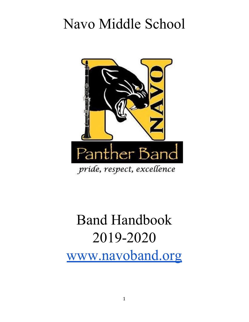# Navo Middle School



# Band Handbook 2019-2020 [www.navoband.org](http://www.navoband.org/)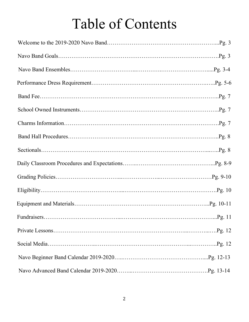# Table of Contents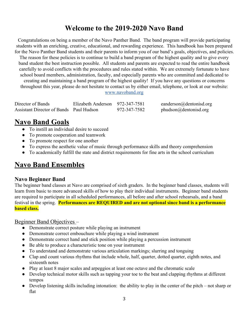## **Welcome to the 2019-2020 Navo Band**

Congratulations on being a member of the Navo Panther Band. The band program will provide participating students with an enriching, creative, educational, and rewarding experience. This handbook has been prepared for the Navo Panther Band students and their parents to inform you of our band's goals, objectives, and policies.

The reason for these policies is to continue to build a band program of the highest quality and to give every band student the best instruction possible. All students and parents are expected to read the entire handbook carefully to avoid conflicts with the procedures and rules stated within. We are extremely fortunate to have school board members, administration, faculty, and especially parents who are committed and dedicated to creating and maintaining a band program of the highest quality! If you have any questions or concerns throughout this year, please do not hesitate to contact us by either email, telephone, or look at our website:

[www.navoband.org](http://www.navoband.org/)

| Director of Bands                       | Elizabeth Anderson 972-347-7581 |              |
|-----------------------------------------|---------------------------------|--------------|
| Assistant Director of Bands Paul Hudson |                                 | 972-347-7582 |

 $e$ anderson@dentonisd.org  $phudson @denton is d.org$ 

## **Navo Band Goals**

- To instill an individual desire to succeed
- To promote cooperation and teamwork
- To promote respect for one another
- To express the aesthetic value of music through performance skills and theory comprehension
- To academically fulfill the state and district requirements for fine arts in the school curriculum

## **Navo Band Ensembles**

#### **Navo Beginner Band**

The beginner band classes at Navo are comprised of sixth graders. In the beginner band classes, students will learn from basic to more advanced skills of how to play their individual instruments. Beginner band students are required to participate in all scheduled performances, all before and after school rehearsals, and a band festival in the spring. **Performances are REQUIRED and are not optional since band is a performance based class.**

#### Beginner Band Objectives –

- Demonstrate correct posture while playing an instrument
- Demonstrate correct embouchure while playing a wind instrument
- Demonstrate correct hand and stick position while playing a percussion instrument
- Be able to produce a characteristic tone on your instrument
- To understand and demonstrate various articulation markings; slurring and tonguing
- Clap and count various rhythms that include whole, half, quarter, dotted quarter, eighth notes, and sixteenth notes
- Play at least 8 major scales and arpeggios at least one octave and the chromatic scale
- Develop technical motor skills such as tapping your toe to the beat and clapping rhythms at different tempos
- Develop listening skills including intonation: the ability to play in the center of the pitch not sharp or flat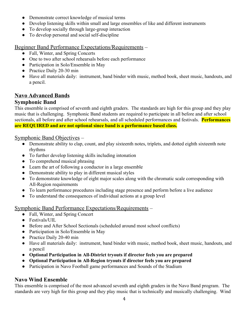- Demonstrate correct knowledge of musical terms
- Develop listening skills within small and large ensembles of like and different instruments
- To develop socially through large-group interaction
- To develop personal and social self-discipline

Beginner Band Performance Expectations/Requirements –

- Fall, Winter, and Spring Concerts
- One to two after school rehearsals before each performance
- Participation in Solo/Ensemble in May
- Practice Daily 20-30 min
- Have all materials daily: instrument, band binder with music, method book, sheet music, handouts, and a pencil.

#### **Navo Advanced Bands**

#### **Symphonic Band**

This ensemble is comprised of seventh and eighth graders. The standards are high for this group and they play music that is challenging. Symphonic Band students are required to participate in all before and after school sectionals, all before and after school rehearsals, and all scheduled performances and festivals. **Performances are REQUIRED and are not optional since band is a performance based class.**

#### Symphonic Band Objectives –

- Demonstrate ability to clap, count, and play sixteenth notes, triplets, and dotted eighth sixteenth note rhythms
- To further develop listening skills including intonation
- To comprehend musical phrasing
- Learn the art of following a conductor in a large ensemble
- Demonstrate ability to play in different musical styles
- To demonstrate knowledge of eight major scales along with the chromatic scale corresponding with All-Region requirements
- To learn performance procedures including stage presence and perform before a live audience
- To understand the consequences of individual actions at a group level

#### Symphonic Band Performance Expectations/Requirements –

- Fall, Winter, and Spring Concert
- Festivals/UIL
- Before and After School Sectionals (scheduled around most school conflicts)
- Participation in Solo/Ensemble in May
- Practice Daily 20-40 min
- Have all materials daily: instrument, band binder with music, method book, sheet music, handouts, and a pencil
- **● Optional Participation in All-District tryouts if director feels you are prepared**
- **● Optional Participation in All-Region tryouts if director feels you are prepared**
- **●** Participation in Navo Football game performances and Sounds of the Stadium

#### **Navo Wind Ensemble**

This ensemble is comprised of the most advanced seventh and eighth graders in the Navo Band program. The standards are very high for this group and they play music that is technically and musically challenging. Wind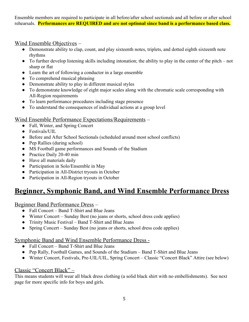Ensemble members are required to participate in all before/after school sectionals and all before or after school rehearsals. **Performances are REQUIRED and are not optional since band is a performance based class.**

#### Wind Ensemble Objectives –

- Demonstrate ability to clap, count, and play sixteenth notes, triplets, and dotted eighth sixteenth note rhythms
- To further develop listening skills including intonation; the ability to play in the center of the pitch not sharp or flat
- Learn the art of following a conductor in a large ensemble
- To comprehend musical phrasing
- Demonstrate ability to play in different musical styles
- To demonstrate knowledge of eight major scales along with the chromatic scale corresponding with All-Region requirements
- To learn performance procedures including stage presence
- To understand the consequences of individual actions at a group level

#### Wind Ensemble Performance Expectations/Requirements –

- Fall, Winter, and Spring Concert
- Festivals/UIL
- Before and After School Sectionals (scheduled around most school conflicts)
- Pep Rallies (during school)
- MS Football game performances and Sounds of the Stadium
- Practice Daily 20-40 min
- Have all materials daily
- Participation in Solo/Ensemble in May
- Participation in All-District tryouts in October
- Participation in All-Region tryouts in October

## **Beginner, Symphonic Band, and Wind Ensemble Performance Dress**

#### Beginner Band Performance Dress –

- Fall Concert Band T-Shirt and Blue Jeans
- Winter Concert Sunday Best (no jeans or shorts, school dress code applies)
- Trinity Music Festival Band T-Shirt and Blue Jeans
- Spring Concert Sunday Best (no jeans or shorts, school dress code applies)

#### Symphonic Band and Wind Ensemble Performance Dress -

- **●** Fall Concert Band T-Shirt and Blue Jeans
- **●** Pep Rally, Football Games, and Sounds of the Stadium Band T-Shirt and Blue Jeans
- **●** Winter Concert, Festivals, Pre-UIL/UIL, Spring Concert Classic "Concert Black" Attire (see below)

#### Classic "Concert Black" –

This means students will wear all black dress clothing (a solid black shirt with no embellishments). See next page for more specific info for boys and girls.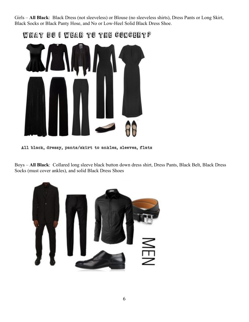Girls – **All Black**: Black Dress (not sleeveless) or Blouse (no sleeveless shirts), Dress Pants or Long Skirt, Black Socks or Black Panty Hose, and No or Low-Heel Solid Black Dress Shoe.



WHAT DO I WEAR TO THE CONCERT?

All black, dressy, pants/skirt to ankles, sleeves, flats

Boys – **All Black**: Collared long sleeve black button down dress shirt, Dress Pants, Black Belt, Black Dress Socks (must cover ankles), and solid Black Dress Shoes

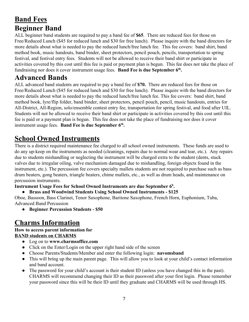# **Band Fees Beginner Band**

ALL beginner band students are required to pay a band fee of **\$65**. There are reduced fees for those on Free/Reduced Lunch (\$45 for reduced lunch and \$30 for free lunch). Please inquire with the band directors for more details about what is needed to pay the reduced lunch/free lunch fee. This fee covers: band shirt, band method book, music handouts, band binder, sheet protectors, pencil pouch, pencils, transportation to spring festival, and festival entry fees. Students will not be allowed to receive their band shirt or participate in activities covered by this cost until this fee is paid or payment plan is begun. This fee does not take the place of fundraising nor does it cover instrument usage fees. **Band Fee is due September 6th .**

## **Advanced Bands**

ALL advanced band students are required to pay a band fee of **\$70.** There are reduced fees for those on Free/Reduced Lunch (\$45 for reduced lunch and \$30 for free lunch). Please inquire with the band directors for more details about what is needed to pay the reduced lunch/free lunch fee. This fee covers: band shirt, band method book, lyre/flip folder, band binder, sheet protectors, pencil pouch, pencil, music handouts, entries for All-District, All-Region, solo/ensemble contest entry fee, transportation for spring festival, and food after UIL. Students will not be allowed to receive their band shirt or participate in activities covered by this cost until this fee is paid or a payment plan is begun. This fee does not take the place of fundraising nor does it cover instrument usage fees. **Band Fee is due September 6th .**

# **School Owned Instruments**

There is a district required maintenance fee charged to all school owned instruments. These funds are used to do any up-keep on the instruments as needed (cleanings, repairs due to normal wear and tear, etc.). Any repairs due to students mishandling or neglecting the instrument will be charged extra to the student (dents, stuck valves due to irregular oiling, valve mechanism damaged due to mishandling, foreign objects found in the instrument, etc.). The percussion fee covers specialty mallets students are not required to purchase such as bass drum beaters, gong beaters, triangle beaters, chime mallets, etc., as well as drum heads, and maintenance on percussion instruments.

**Instrument Usage Fees for School Owned Instruments are due September 6<sup>h</sup> .**

#### **● Brass and Woodwind Students Using School Owned Instruments - \$125**

Oboe, Bassoon, Bass Clarinet, Tenor Saxophone, Baritone Saxophone, French Horn, Euphonium, Tuba, Advanced Band Percussion

**● Beginner Percussion Students - \$50**

## **Charms Information**

#### **How to access parent information for BAND students on CHARMS**

- Log on to **[www.charmsoffice.com](http://www.charmsoffice.com/)**
- Click on the Enter/Login on the upper right hand side of the screen
- Choose Parents/Students/Member and enter the following login: **navomsband**
- This will bring up the main parent page. This will allow you to look at your child's contact information and band account.
- The password for your child's account is their student ID (unless you have changed this in the past). CHARMS will recommend changing their ID as their password after your first login. Please remember your password since this will be their ID until they graduate and CHARMS will be used through HS.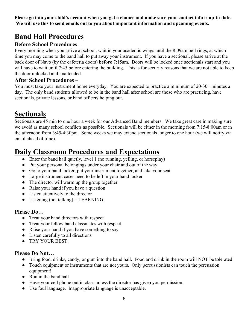**Please go into your child's account when you get a chance and make sure your contact info is up-to-date. We will use this to send emails out to you about important information and upcoming events.**

## **Band Hall Procedures**

#### **Before School Procedures –**

Every morning when you arrive at school, wait in your academic wings until the 8:09am bell rings, at which time you may come to the band hall to put away your instrument. If you have a sectional, please arrive at the back door of Navo (by the cafeteria doors) **before** 7:15am. Doors will be locked once sectionals start and you will have to wait until 7:45 before entering the building. This is for security reasons that we are not able to keep the door unlocked and unattended.

#### **After School Procedures –**

You must take your instrument home everyday. You are expected to practice a minimum of 20-30+ minutes a day. The only band students allowed to be in the band hall after school are those who are practicing, have sectionals, private lessons, or band officers helping out.

# **Sectionals**

Sectionals are 45 min to one hour a week for our Advanced Band members. We take great care in making sure we avoid as many school conflicts as possible. Sectionals will be either in the morning from 7:15-8:00am or in the afternoon from 3:45-4:30pm. Some weeks we may extend sectionals longer to one hour (we will notify via email ahead of time).

## **Daily Classroom Procedures and Expectations**

- Enter the band hall quietly, level 1 (no running, yelling, or horseplay)
- Put your personal belongings under your chair and out of the way
- Go to your band locker, put your instrument together, and take your seat
- Large instrument cases need to be left in your band locker
- The director will warm up the group together
- Raise your hand if you have a question
- Listen attentively to the director
- Listening (not talking)  $=$  LEARNING!

#### **Please Do…**

- Treat your band directors with respect
- Treat your fellow band classmates with respect
- Raise your hand if you have something to say
- Listen carefully to all directions
- TRY YOUR BEST!

#### **Please Do Not…**

- Bring food, drinks, candy, or gum into the band hall. Food and drink in the room will NOT be tolerated!
- Touch equipment or instruments that are not yours. Only percussionists can touch the percussion equipment!
- Run in the band hall
- Have your cell phone out in class unless the director has given you permission.
- Use foul language. Inappropriate language is unacceptable.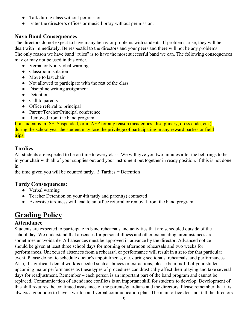- Talk during class without permission.
- Enter the director's offices or music library without permission.

#### **Navo Band Consequences**

The directors do not expect to have many behavior problems with students. If problems arise, they will be dealt with immediately. Be respectful to the directors and your peers and there will not be any problems. The only reason we have band "rules" is to have the most successful band we can. The following consequences may or may not be used in this order.

- Verbal or Non-verbal warning
- Classroom isolation
- Move to last chair
- Not allowed to participate with the rest of the class
- Discipline writing assignment
- Detention
- Call to parents
- Office referral to principal
- Parent/Teacher/Principal conference
- Removed from the band program

If a student is in ISS, Suspended, or in AEP for any reason (academics, disciplinary, dress code, etc.) during the school year the student may lose the privilege of participating in any reward parties or field trips.

#### **Tardies**

All students are expected to be on time to every class. We will give you two minutes after the bell rings to be in your chair with all of your supplies out and your instrument put together in ready position. If this is not done in

the time given you will be counted tardy. 3 Tardies = Detention

#### **Tardy Consequences:**

- Verbal warning
- Teacher Detention on your 4th tardy and parent(s) contacted
- Excessive tardiness will lead to an office referral or removal from the band program

## **Grading Policy**

#### **Attendance**

Students are expected to participate in band rehearsals and activities that are scheduled outside of the school day. We understand that absences for personal illness and other extenuating circumstances are sometimes unavoidable. All absences must be approved in advance by the director. Advanced notice should be given at least three school days for morning or afternoon rehearsals and two weeks for performances. Unexcused absences from a rehearsal or performance will result in a zero for that particular event. Please do not to schedule doctor's appointments, etc. during sectionals, rehearsals, and performances. Also, if significant dental work is needed such as braces or extractions, please be mindful of your student's upcoming major performances as these types of procedures can drastically affect their playing and take several days for readjustment. Remember – each person is an important part of the band program and cannot be replaced. Communication of attendance conflicts is an important skill for students to develop. Development of this skill requires the continued assistance of the parents/guardians and the directors. Please remember that it is always a good idea to have a written and verbal communication plan. The main office does not tell the directors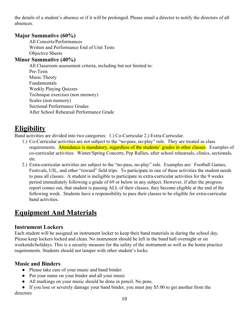the details of a student's absence or if it will be prolonged. Please email a director to notify the directors of all absences.

#### **Major Summative (60%)**

All Concerts/Performances Written and Performance End of Unit Tests Objective Sheets

#### **Minor Summative (40%)**

All Classroom assessment criteria, including but not limited to: Pre-Tests Music Theory Fundamentals Weekly Playing Quizzes Technique exercises (non memory) Scales (non memory) Sectional Performance Grades After School Rehearsal Performance Grade

## **Eligibility**

Band activities are divided into two categories: 1.) Co-Curricular 2.) Extra-Curricular.

- 1.) Co-Curricular activities are not subject to the "no-pass, no-play" rule. They are treated as class requirements. Attendance is mandatory, regardless of the students' grades in other classes. Examples of co-curricular activities: Winter/Spring Concerts, Pep Rallies, after school rehearsals, clinics, sectionals, etc.
- 2.) Extra-curricular activities are subject to the "no-pass, no-play" rule. Examples are: Football Games, Festivals, UIL, and other "reward" field trips. To participate in one of these activities the student needs to pass all classes. A student is ineligible to participate in extra-curricular activities for the 9 weeks period immediately following a grade of 69 or below in any subject. However, if after the progress report comes out, that student is passing ALL of their classes, they become eligible at the end of the following week. Students have a responsibility to pass their classes to be eligible for extra-curricular band activities.

## **Equipment And Materials**

#### **Instrument Lockers**

Each student will be assigned an instrument locker to keep their band materials in during the school day. Please keep lockers locked and clean. No instrument should be left in the band hall overnight or on weekends/holidays. This is a security measure for the safety of the instrument as well as the home practice requirements. Students should not tamper with other student's locks.

#### **Music and Binders**

- Please take care of your music and band binder.
- Put your name on your binder and all your music
- All markings on your music should be done in pencil. No pens.

• If you lose or severely damage your band binder, you must pay \$5.00 to get another from the directors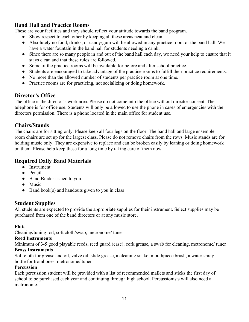#### **Band Hall and Practice Rooms**

These are your facilities and they should reflect your attitude towards the band program.

- Show respect to each other by keeping all these areas neat and clean.
- Absolutely no food, drinks, or candy/gum will be allowed in any practice room or the band hall. We have a water fountain in the band hall for students needing a drink.
- Since there are so many people in and out of the band hall each day, we need your help to ensure that it stays clean and that these rules are followed.
- Some of the practice rooms will be available for before and after school practice.
- Students are encouraged to take advantage of the practice rooms to fulfill their practice requirements.
- No more than the allowed number of students per practice room at one time.
- Practice rooms are for practicing, not socializing or doing homework.

#### **Director's Office**

The office is the director's work area. Please do not come into the office without director consent. The telephone is for office use. Students will only be allowed to use the phone in cases of emergencies with the directors permission. There is a phone located in the main office for student use.

#### **Chairs/Stands**

The chairs are for sitting only. Please keep all four legs on the floor. The band hall and large ensemble room chairs are set up for the largest class. Please do not remove chairs from the rows. Music stands are for holding music only. They are expensive to replace and can be broken easily by leaning or doing homework on them. Please help keep these for a long time by taking care of them now.

#### **Required Daily Band Materials**

- Instrument
- Pencil
- Band Binder issued to you
- Music
- $\bullet$  Band book(s) and handouts given to you in class

#### **Student Supplies**

All students are expected to provide the appropriate supplies for their instrument. Select supplies may be purchased from one of the band directors or at any music store.

#### **Flute**

Cleaning/tuning rod, soft cloth/swab, metronome/ tuner

#### **Reed Instruments**

Minimum of 3-5 good playable reeds, reed guard (case), cork grease, a swab for cleaning, metronome/ tuner **Brass Instruments**

Soft cloth for grease and oil, valve oil, slide grease, a cleaning snake, mouthpiece brush, a water spray bottle for trombones, metronome/ tuner

#### **Percussion**

Each percussion student will be provided with a list of recommended mallets and sticks the first day of school to be purchased each year and continuing through high school. Percussionists will also need a metronome.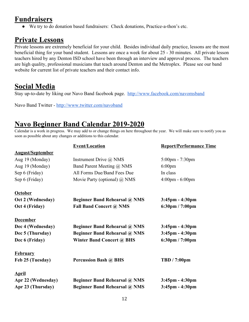## **Fundraisers**

● We try to do donation based fundraisers: Check donations, Practice-a-thon's etc.

## **Private Lessons**

Private lessons are extremely beneficial for your child. Besides individual daily practice, lessons are the most beneficial thing for your band student. Lessons are once a week for about 25 - 30 minutes. All private lesson teachers hired by any Denton ISD school have been through an interview and approval process. The teachers are high quality, professional musicians that teach around Denton and the Metroplex. Please see our band website for current list of private teachers and their contact info.

## **Social Media**

Stay up-to-date by liking our Navo Band facebook page. <http://www.facebook.com/navomsband>

Navo Band Twitter - <http://www.twitter.com/navoband>

## **Navo Beginner Band Calendar 2019-2020**

Calendar is a work in progress. We may add to or change things on here throughout the year. We will make sure to notify you as soon as possible about any changes or additions to this calendar.

|                         | <b>Event/Location</b>                | <b>Report/Performance Time</b>    |
|-------------------------|--------------------------------------|-----------------------------------|
| <b>August/September</b> |                                      |                                   |
| Aug 19 (Monday)         | Instrument Drive @ NMS               | $5:00 \text{pm} - 7:30 \text{pm}$ |
| Aug 19 (Monday)         | Band Parent Meeting @ NMS            | $6:00$ pm                         |
| Sep 6 (Friday)          | All Forms Due/Band Fees Due          | In class                          |
| Sep 6 (Friday)          | Movie Party (optional) $\omega$ NMS  | $4:00 \text{pm} - 6:00 \text{pm}$ |
| <b>October</b>          |                                      |                                   |
| Oct 2 (Wednesday)       | <b>Beginner Band Rehearsal @ NMS</b> | $3:45$ pm - $4:30$ pm             |
| Oct 4 (Friday)          | <b>Fall Band Concert @ NMS</b>       | 6:30pm / 7:00pm                   |
| <b>December</b>         |                                      |                                   |
| Dec 4 (Wednesday)       | <b>Beginner Band Rehearsal @ NMS</b> | $3:45$ pm - $4:30$ pm             |
| Dec 5 (Thursday)        | <b>Beginner Band Rehearsal @ NMS</b> | $3:45$ pm - $4:30$ pm             |
| Dec 6 (Friday)          | <b>Winter Band Concert @ BHS</b>     | $6:30 \text{pm} / 7:00 \text{pm}$ |
| <b>February</b>         |                                      |                                   |
| Feb 25 (Tuesday)        | <b>Percussion Bash @ BHS</b>         | <b>TBD</b> / 7:00pm               |
| <b>April</b>            |                                      |                                   |
| Apr 22 (Wednesday)      | <b>Beginner Band Rehearsal @ NMS</b> | $3:45$ pm - $4:30$ pm             |
| Apr 23 (Thursday)       | <b>Beginner Band Rehearsal @ NMS</b> | $3:45$ pm - $4:30$ pm             |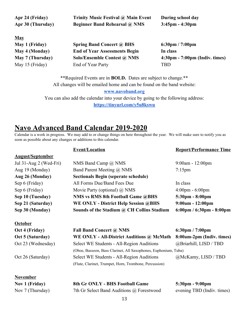| Apr 24 (Friday)<br>Apr 30 (Thursday) | Trinity Music Festival @ Main Event<br><b>Beginner Band Rehearsal @ NMS</b> | During school day<br>$3:45$ pm - $4:30$ pm       |
|--------------------------------------|-----------------------------------------------------------------------------|--------------------------------------------------|
| <b>May</b>                           |                                                                             |                                                  |
| May 1 (Friday)                       | <b>Spring Band Concert @ BHS</b>                                            | $6:30 \text{pm} / 7:00 \text{pm}$                |
| May 4 (Monday)                       | <b>End of Year Assessments Begin</b>                                        | In class                                         |
| May 7 (Thursday)                     | Solo/Ensemble Contest @ NMS                                                 | $4:30 \text{pm} - 7:00 \text{pm}$ (Indiv. times) |
| May 15 (Friday)                      | End of Year Party                                                           | <b>TBD</b>                                       |

\*\*Required Events are in **BOLD.** Dates are subject to change.\*\* All changes will be emailed home and can be found on the band website: **[www.navoband.org](http://www.navoband.org/)** You can also add the calendar into your device by going to the following address: **<https://tinyurl.com/y5u8kswu>**

### **Navo Advanced Band Calendar 2019-2020**

Calendar is a work in progress. We may add to or change things on here throughout the year. We will make sure to notify you as soon as possible about any changes or additions to this calendar.

|                         | <b>Event/Location</b>                                           | <b>Report/Performance Time</b>                         |  |
|-------------------------|-----------------------------------------------------------------|--------------------------------------------------------|--|
| <b>August/September</b> |                                                                 |                                                        |  |
| Jul 31-Aug 2 (Wed-Fri)  | NMS Band Camp @ NMS                                             | 9:00am - 12:00pm                                       |  |
| Aug 19 (Monday)         | Band Parent Meeting @ NMS                                       | $7:15$ pm                                              |  |
| Aug 26 (Monday)         | <b>Sectionals Begin (seperate schedule)</b>                     |                                                        |  |
| Sep 6 (Friday)          | All Forms Due/Band Fees Due                                     | In class                                               |  |
| Sep 6 (Friday)          | Movie Party (optional) $\omega$ NMS                             | $4:00 \text{pm} - 6:00 \text{pm}$                      |  |
| Sep 10 (Tuesday)        | <b>NMS vs RMS 8th Football Game @BHS</b>                        | 5:30pm - 8:00pm                                        |  |
| Sep 21 (Saturday)       | <b>WE ONLY - District Help Session @BHS</b>                     | $9:00am - 12:00pm$                                     |  |
| Sep 30 (Monday)         | Sounds of the Stadium @ CH Collins Stadium                      | $6:00 \text{pm}$ / $6:30 \text{pm}$ - $8:00 \text{pm}$ |  |
| <b>October</b>          |                                                                 |                                                        |  |
| Oct 4 (Friday)          | <b>Fall Band Concert @ NMS</b>                                  | $6:30 \text{pm} / 7:00 \text{pm}$                      |  |
| Oct 5 (Saturday)        | WE ONLY - All-District Auditions @ McMath                       | 8:00am-2pm (Indiv. times)                              |  |
| Oct 23 (Wednesday)      | Select WE Students - All-Region Auditions                       | @Briarhill, LISD / TBD                                 |  |
|                         | (Oboe, Bassoon, Bass Clarinet, All Saxophones, Euphonium, Tuba) |                                                        |  |
| Oct 26 (Saturday)       | Select WE Students - All-Region Auditions                       | @McKamy, LISD / TBD                                    |  |
|                         | (Flute, Clarinet, Trumpet, Horn, Trombone, Percussion)          |                                                        |  |
| <b>November</b>         |                                                                 |                                                        |  |
| <b>Nov 1 (Friday)</b>   | 8th Gr ONLY - BHS Football Game                                 | 5:30pm - 9:00pm                                        |  |
| Nov 7 (Thursday)        | 7th Gr Select Band Auditions @ Forestwood                       | evening TBD (Indiv. times)                             |  |
|                         | $\sim$                                                          |                                                        |  |